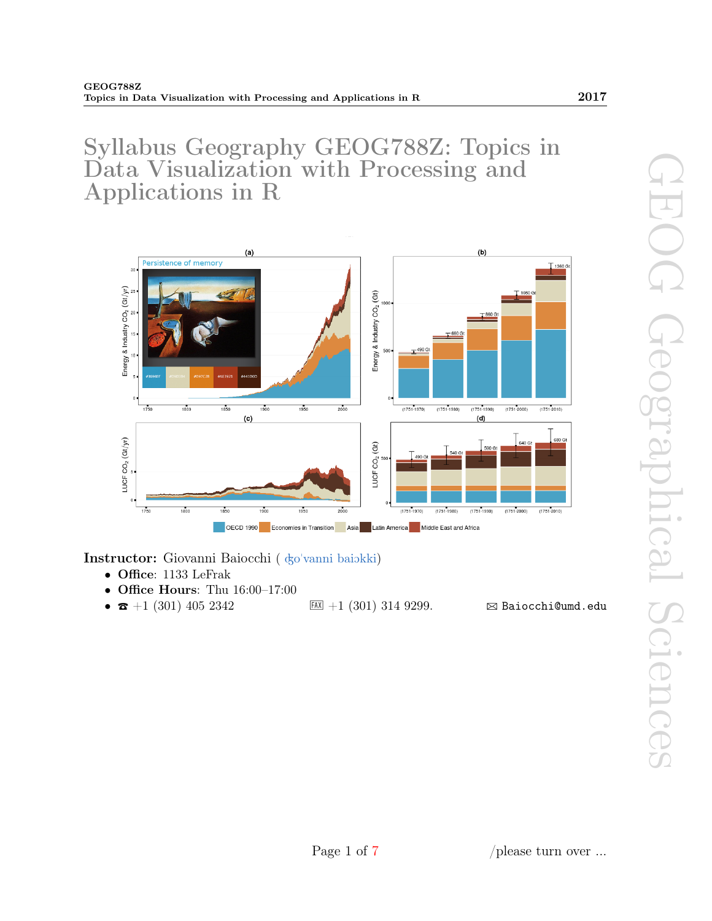# Syllabus Geography GEOG788Z: Topics in Data Visualization with Processing and Applications in R



Instructor: Giovanni Baiocchi (  $\&$ o'vanni baiokki)

- Office: 1133 LeFrak
- Office Hours: Thu 16:00-17:00
- $\hat{\mathbf{z}}$  +1 (301) 405 2342  $\qquad \qquad$  [AX] +1 (301) 314 9299.  $\qquad \qquad$   $\boxtimes$  Baiocchi@umd.edu

Page 1 of [7](#page-5-0) /please turn over ...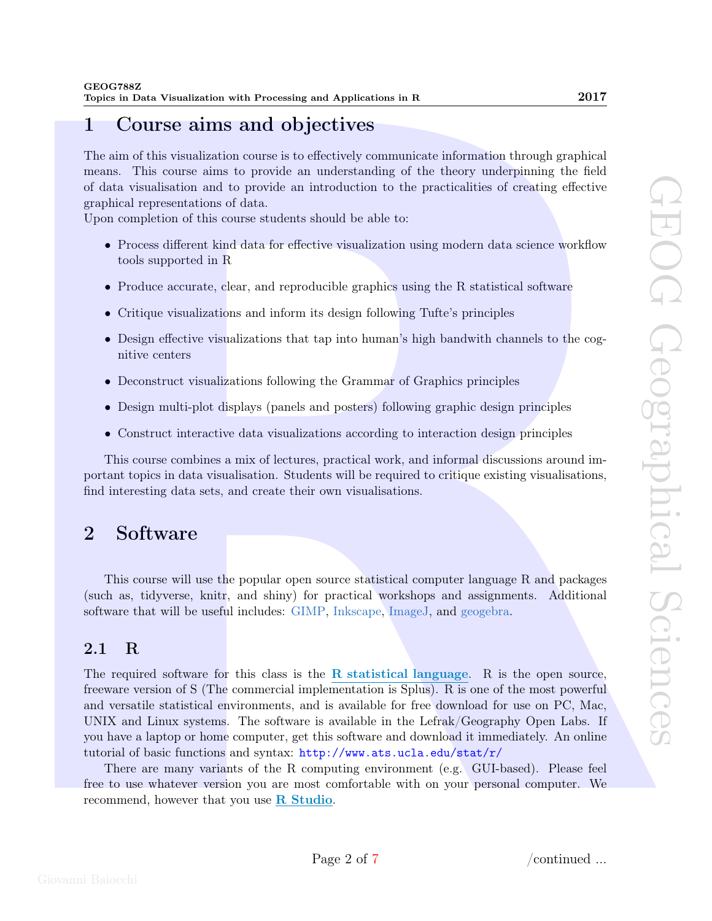#### 1 Course aims and objectives

The aim of this visualization course is to effectively communicate information through graphical means. This course aims to provide an understanding of the theory underpinning the field of data visualisation and to provide an introduction to the practicalities of creating effective graphical representations of data.

Upon completion of this course students should be able to:

- Process different kind data for effective visualization using modern data science workflow tools supported in R
- Produce accurate, clear, and reproducible graphics using the R statistical software
- Critique visualizations and inform its design following Tufte's principles
- Design effective visualizations that tap into human's high bandwith channels to the cognitive centers
- Deconstruct visualizations following the Grammar of Graphics principles
- Design multi-plot displays (panels and posters) following graphic design principles
- Construct interactive data visualizations according to interaction design principles

This course combines a mix of lectures, practical work, and informal discussions around important topics in data visualisation. Students will be required to critique existing visualisations,

This course will use the popular open source statistical computer language R and packages (such as, tidyverse, knitr, and shiny) for practical workshops and assignments. Additional software that will be useful includes: GIMP, Inkscape, ImageJ, and geogebra.

#### 2.1 R

**Find interesting denotes and consistent of the creates in the critical sets, and the constrained by the create their own visualisations. The sets constrained the create their own visualisation of the forecast of the crea** The required software for this class is the R statistical language. R is the open source, freeware version of S (The commercial implementation is Splus). R is one of the most powerful and versatile statistical environments, and is available for free download for use on PC, Mac, UNIX and Linux systems. The software is available in the Lefrak/Geography Open Labs. If you have a laptop or home computer, get this software and download it immediately. An online tutorial of basic functions and syntax: http://www.ats.ucla.edu/stat/r/

There are many variants of the R computing environment (e.g. GUI-based). Please feel free to use whatever version you are most comfortable with on your personal computer. We recommend, however that you use  $\bf{R}$  Studio.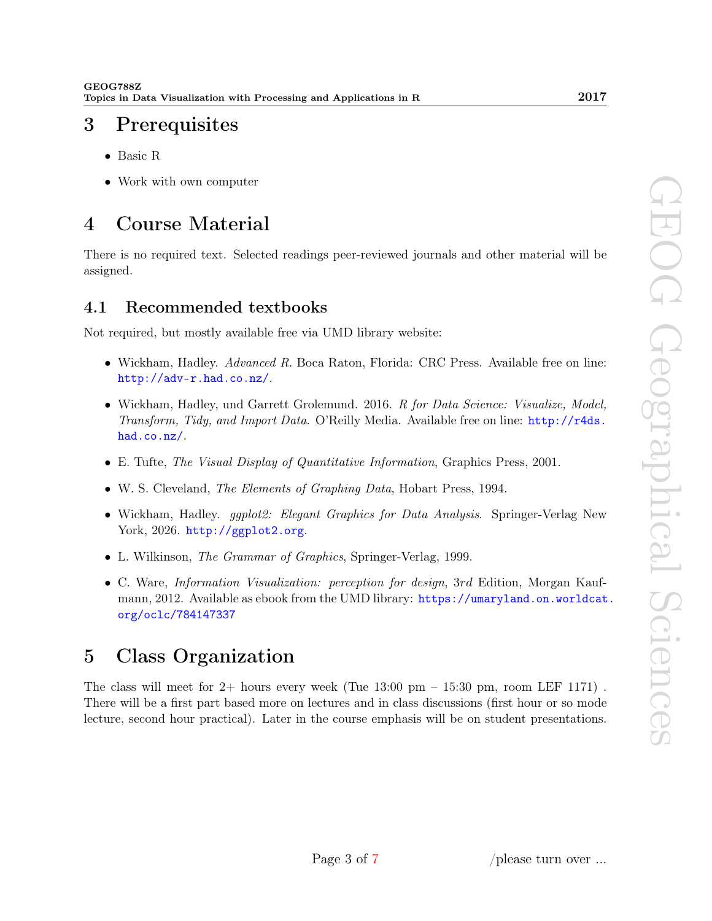# 3 Prerequisites

- Basic R
- Work with own computer

# 4 Course Material

There is no required text. Selected readings peer-reviewed journals and other material will be assigned.

#### 4.1 Recommended textbooks

Not required, but mostly available free via UMD library website:

- Wickham, Hadley. Advanced R. Boca Raton, Florida: CRC Press. Available free on line: <http://adv-r.had.co.nz/>.
- Wickham, Hadley, und Garrett Grolemund. 2016. R for Data Science: Visualize, Model, Transform, Tidy, and Import Data. O'Reilly Media. Available free on line: [http://r4ds.](http://r4ds.had.co.nz/) [had.co.nz/](http://r4ds.had.co.nz/).
- E. Tufte, *The Visual Display of Quantitative Information*, Graphics Press, 2001.
- W. S. Cleveland, The Elements of Graphing Data, Hobart Press, 1994.
- Wickham, Hadley. *ggplot2: Elegant Graphics for Data Analysis*. Springer-Verlag New York, 2026. <http://ggplot2.org>.
- L. Wilkinson, The Grammar of Graphics, Springer-Verlag, 1999.
- C. Ware, Information Visualization: perception for design, 3rd Edition, Morgan Kaufmann, 2012. Available as ebook from the UMD library: [https://umaryland.on.worldcat](https://umaryland.on.worldcat.org/oclc/784147337). [org/oclc/784147337](https://umaryland.on.worldcat.org/oclc/784147337)

# 5 Class Organization

The class will meet for  $2+$  hours every week (Tue 13:00 pm  $-$  15:30 pm, room LEF 1171). There will be a first part based more on lectures and in class discussions (first hour or so mode lecture, second hour practical). Later in the course emphasis will be on student presentations.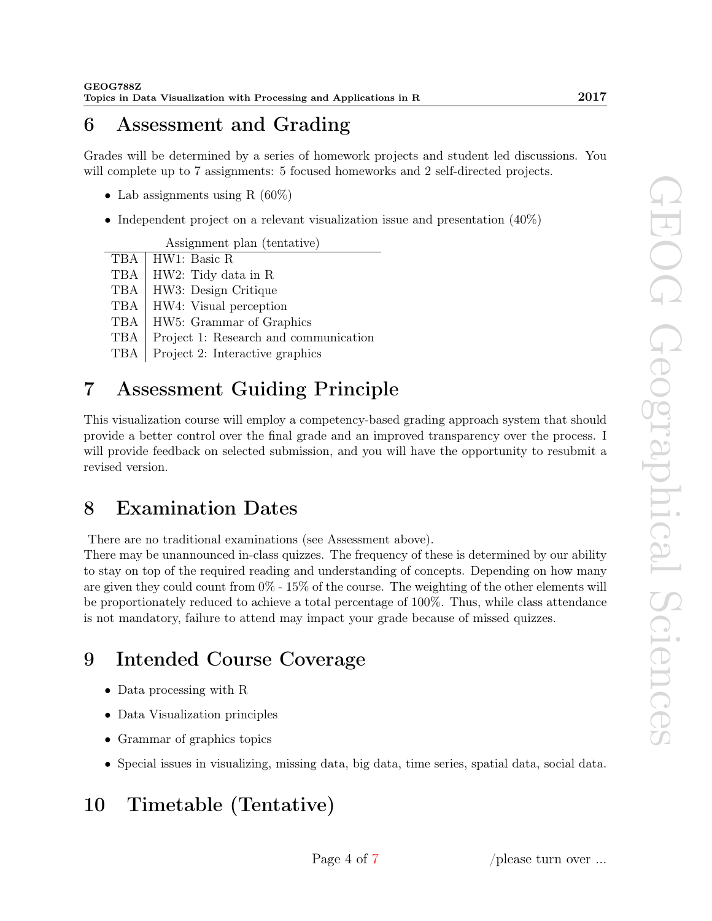# 6 Assessment and Grading

Grades will be determined by a series of homework projects and student led discussions. You will complete up to 7 assignments: 5 focused homeworks and 2 self-directed projects.

- Lab assignments using R  $(60\%)$
- Independent project on a relevant visualization issue and presentation  $(40\%)$

| Assignment plan (tentative) |
|-----------------------------|
|                             |

|                | TBA   HW1: Basic R        |
|----------------|---------------------------|
|                | TBA   HW2: Tidy data in R |
| ___ . 1 _____. |                           |

- TBA HW3: Design Critique
- TBA HW4: Visual perception
- TBA HW5: Grammar of Graphics
- TBA | Project 1: Research and communication
- TBA Project 2: Interactive graphics

## 7 Assessment Guiding Principle

This visualization course will employ a competency-based grading approach system that should provide a better control over the final grade and an improved transparency over the process. I will provide feedback on selected submission, and you will have the opportunity to resubmit a revised version.

## 8 Examination Dates

There are no traditional examinations (see Assessment above).

There may be unannounced in-class quizzes. The frequency of these is determined by our ability to stay on top of the required reading and understanding of concepts. Depending on how many are given they could count from  $0\%$  - 15% of the course. The weighting of the other elements will be proportionately reduced to achieve a total percentage of 100%. Thus, while class attendance is not mandatory, failure to attend may impact your grade because of missed quizzes.

# 9 Intended Course Coverage

- Data processing with R
- Data Visualization principles
- Grammar of graphics topics
- Special issues in visualizing, missing data, big data, time series, spatial data, social data.

## 10 Timetable (Tentative)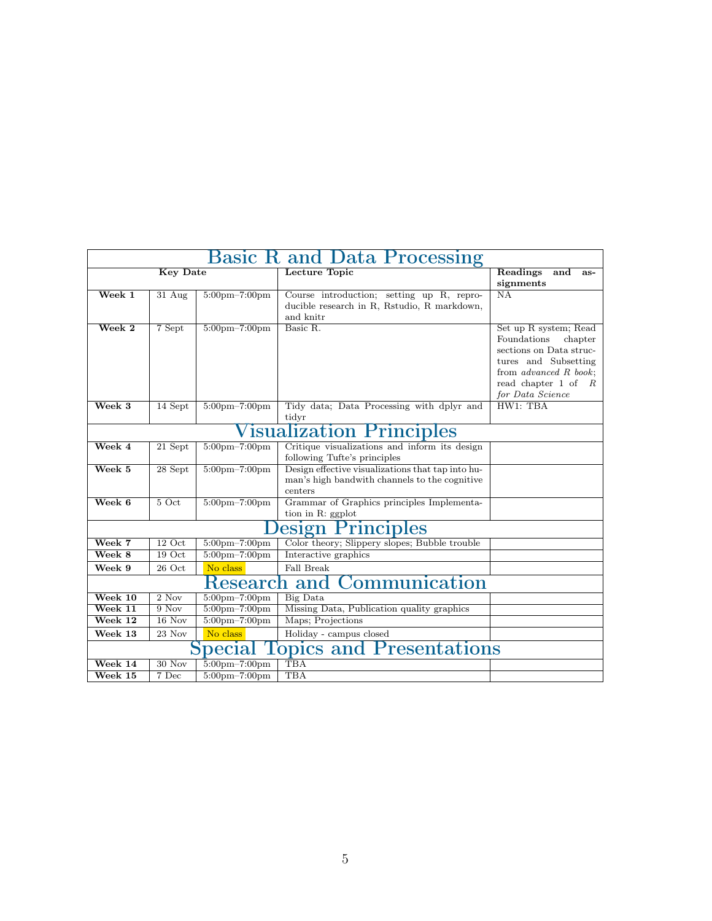| <b>Basic R and Data Processing</b> |          |                                   |                                                   |                                                   |
|------------------------------------|----------|-----------------------------------|---------------------------------------------------|---------------------------------------------------|
| <b>Key Date</b>                    |          |                                   | <b>Lecture Topic</b>                              | Readings<br>and<br>as-                            |
|                                    |          |                                   |                                                   | signments                                         |
| Week 1                             | $31$ Aug | $5:00$ pm $-7:00$ pm              | Course introduction; setting up R, repro-         | <b>NA</b>                                         |
|                                    |          |                                   | ducible research in R, Rstudio, R markdown,       |                                                   |
|                                    |          |                                   | and knitr                                         |                                                   |
| $\overline{\text{Week 2}}$         | 7 Sept   | $5:00 \text{pm} - 7:00 \text{pm}$ | Basic R.                                          | Set up R system; Read                             |
|                                    |          |                                   |                                                   | Foundations<br>chapter<br>sections on Data struc- |
|                                    |          |                                   |                                                   | tures and Subsetting                              |
|                                    |          |                                   |                                                   | from <i>advanced</i> $R$ book;                    |
|                                    |          |                                   |                                                   | read chapter 1 of $R$                             |
|                                    |          |                                   |                                                   | for Data Science                                  |
| Week 3                             | 14 Sept  | $5:00$ pm $-7:00$ pm              | Tidy data; Data Processing with dplyr and         | HW1: TBA                                          |
|                                    |          |                                   | tidyr                                             |                                                   |
| Visualization Principles           |          |                                   |                                                   |                                                   |
| Week 4                             | 21 Sept  | $5:00 \text{pm} - 7:00 \text{pm}$ | Critique visualizations and inform its design     |                                                   |
|                                    |          |                                   | following Tufte's principles                      |                                                   |
| Week 5                             | 28 Sept  | $5:00$ pm $-7:00$ pm              | Design effective visualizations that tap into hu- |                                                   |
|                                    |          |                                   | man's high bandwith channels to the cognitive     |                                                   |
|                                    |          |                                   | centers                                           |                                                   |
| Week 6                             | 5 Oct    | $5:00$ pm $-7:00$ pm              | Grammar of Graphics principles Implementa-        |                                                   |
|                                    |          |                                   | tion in R: ggplot                                 |                                                   |
| esign Principles                   |          |                                   |                                                   |                                                   |
| Week 7                             | 12 Oct   | $5:00$ pm $-7:00$ pm              | Color theory; Slippery slopes; Bubble trouble     |                                                   |
| Week 8                             | $19$ Oct | $5:00 \text{pm} - 7:00 \text{pm}$ | Interactive graphics                              |                                                   |
| Week 9                             | $26$ Oct | No class                          | Fall Break                                        |                                                   |
| Communication<br>Research and      |          |                                   |                                                   |                                                   |
| Week 10                            | $2$ Nov  | $5:00 \text{pm} - 7:00 \text{pm}$ | <b>Big Data</b>                                   |                                                   |
| Week $11$                          | $9$ Nov  | $5:00$ pm $-7:00$ pm              | Missing Data, Publication quality graphics        |                                                   |
| Week 12                            | $16$ Nov | $5:00$ pm $-7:00$ pm              | Maps; Projections                                 |                                                   |
| Week 13                            | 23 Nov   | No class                          | Holiday - campus closed                           |                                                   |
| opics and Presentations<br>pecial  |          |                                   |                                                   |                                                   |
| Week 14                            | 30 Nov   | $5:00$ pm $-7:00$ pm              | <b>TBA</b>                                        |                                                   |
| Week 15                            | 7 Dec    | $5:00$ pm $-7:00$ pm              | <b>TBA</b>                                        |                                                   |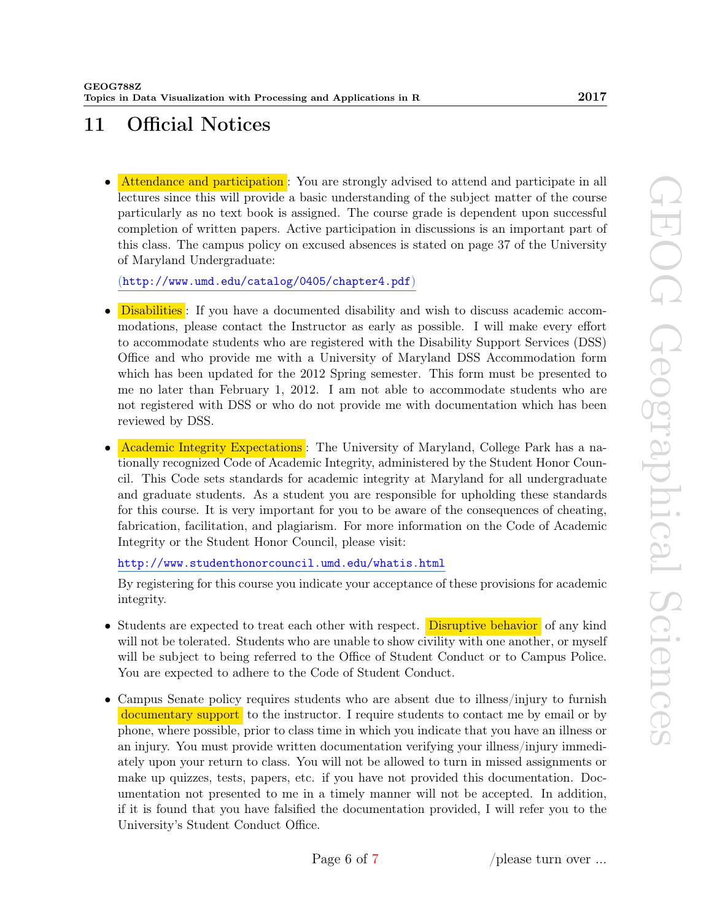# <span id="page-5-0"></span>11 Official Notices

• Attendance and participation : You are strongly advised to attend and participate in all lectures since this will provide a basic understanding of the subject matter of the course particularly as no text book is assigned. The course grade is dependent upon successful completion of written papers. Active participation in discussions is an important part of this class. The campus policy on excused absences is stated on page 37 of the University of Maryland Undergraduate:

(<http://www.umd.edu/catalog/0405/chapter4.pdf>)

- **Disabilities**: If you have a documented disability and wish to discuss academic accommodations, please contact the Instructor as early as possible. I will make every effort to accommodate students who are registered with the Disability Support Services (DSS) Office and who provide me with a University of Maryland DSS Accommodation form which has been updated for the 2012 Spring semester. This form must be presented to me no later than February 1, 2012. I am not able to accommodate students who are not registered with DSS or who do not provide me with documentation which has been reviewed by DSS.
- Academic Integrity Expectations : The University of Maryland, College Park has a nationally recognized Code of Academic Integrity, administered by the Student Honor Council. This Code sets standards for academic integrity at Maryland for all undergraduate and graduate students. As a student you are responsible for upholding these standards for this course. It is very important for you to be aware of the consequences of cheating, fabrication, facilitation, and plagiarism. For more information on the Code of Academic Integrity or the Student Honor Council, please visit:

<http://www.studenthonorcouncil.umd.edu/whatis.html>

By registering for this course you indicate your acceptance of these provisions for academic integrity.

- Students are expected to treat each other with respect. Disruptive behavior of any kind will not be tolerated. Students who are unable to show civility with one another, or myself will be subject to being referred to the Office of Student Conduct or to Campus Police. You are expected to adhere to the Code of Student Conduct.
- Campus Senate policy requires students who are absent due to illness/injury to furnish documentary support to the instructor. I require students to contact me by email or by phone, where possible, prior to class time in which you indicate that you have an illness or an injury. You must provide written documentation verifying your illness/injury immediately upon your return to class. You will not be allowed to turn in missed assignments or make up quizzes, tests, papers, etc. if you have not provided this documentation. Documentation not presented to me in a timely manner will not be accepted. In addition, if it is found that you have falsified the documentation provided, I will refer you to the University's Student Conduct Office.